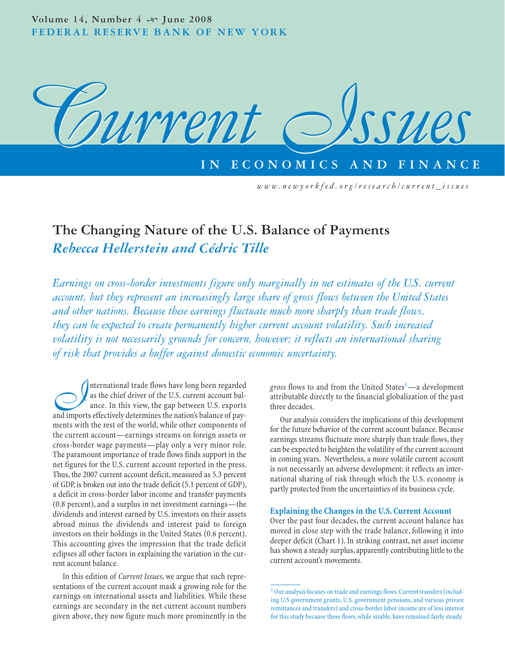## Volume 14, Number  $4 \rightsquigarrow$  June 2008 **FEDERAL RESERVE BANK OF NEW YORK**



**IECONOMICS** 

*www.newyorkfed.org/research/current\_issues*

# **The Changing Nature of the U.S. Balance of Payments** *Rebecca Hellerstein and Cédric Tille*

*Earnings on cross-border investments figure only marginally in net estimates of the U.S. current account, but they represent an increasingly large share of gross flows between the United States and other nations. Because these earnings fluctuate much more sharply than trade flows, they can be expected to create permanently higher current account volatility. Such increased volatility is not necessarily grounds for concern, however; it reflects an international sharing of risk that provides a buffer against domestic economic uncertainty.*

**I**nternational trade flows have long been regarded<br>as the chief driver of the U.S. current account bal-<br>ance. In this view, the gap between U.S. exports<br>and imports effectively determines the nation's balance of payas the chief driver of the U.S. current account balance. In this view, the gap between U.S. exports and imports effectively determines the nation's balance of payments with the rest of the world, while other components of the current account—earnings streams on foreign assets or cross-border wage payments—play only a very minor role. The paramount importance of trade flows finds support in the net figures for the U.S. current account reported in the press. Thus, the 2007 current account deficit, measured as 5.3 percent of GDP, is broken out into the trade deficit (5.1 percent of GDP), a deficit in cross-border labor income and transfer payments (0.8 percent), and a surplus in net investment earnings—the dividends and interest earned by U.S. investors on their assets abroad minus the dividends and interest paid to foreign investors on their holdings in the United States (0.6 percent). This accounting gives the impression that the trade deficit eclipses all other factors in explaining the variation in the current account balance.

In this edition of *Current Issues*, we argue that such representations of the current account mask a growing role for the earnings on international assets and liabilities. While these earnings are secondary in the net current account numbers given above, they now figure much more prominently in the

g*ross* flows to and from the United States<sup>1</sup>—a development attributable directly to the financial globalization of the past three decades.

Our analysis considers the implications of this development for the future behavior of the current account balance. Because earnings streams fluctuate more sharply than trade flows, they can be expected to heighten the volatility of the current account in coming years. Nevertheless, a more volatile current account is not necessarily an adverse development: it reflects an international sharing of risk through which the U.S. economy is partly protected from the uncertainties of its business cycle.

### **Explaining the Changes in the U.S. Current Account**

Over the past four decades, the current account balance has moved in close step with the trade balance, following it into deeper deficit (Chart 1). In striking contrast, net asset income has shown a steady surplus, apparently contributing little to the current account's movements.

<sup>&</sup>lt;sup>1</sup> Our analysis focuses on trade and earnings flows. Current transfers (including U.S government grants, U.S. government pensions, and various private remittances and transfers) and cross-border labor income are of less interest for this study because these flows, while sizable, have remained fairly steady.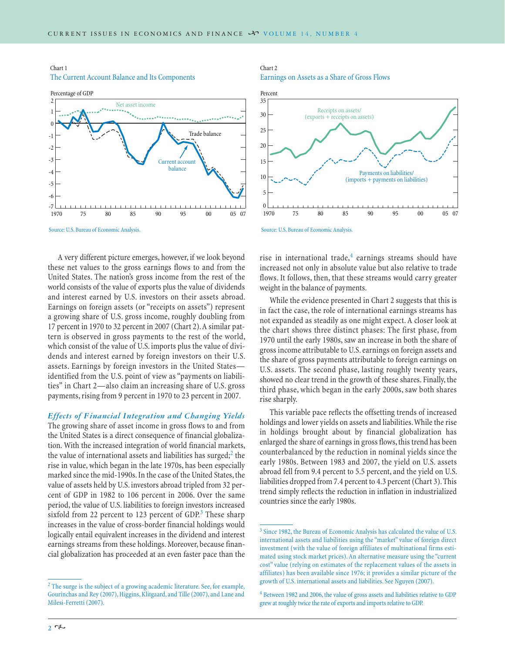## Chart 1 The Current Account Balance and Its Components



Source: U.S. Bureau of Economic Analysis.

A very different picture emerges, however, if we look beyond these net values to the gross earnings flows to and from the United States. The nation's gross income from the rest of the world consists of the value of exports plus the value of dividends and interest earned by U.S. investors on their assets abroad. Earnings on foreign assets (or "receipts on assets") represent a growing share of U.S. gross income, roughly doubling from 17 percent in 1970 to 32 percent in 2007 (Chart 2). A similar pattern is observed in gross payments to the rest of the world, which consist of the value of U.S. imports plus the value of dividends and interest earned by foreign investors on their U.S. assets. Earnings by foreign investors in the United States identified from the U.S. point of view as "payments on liabilities" in Chart 2—also claim an increasing share of U.S. gross payments, rising from 9 percent in 1970 to 23 percent in 2007.

*Effects of Financial Integration and Changing Yields* The growing share of asset income in gross flows to and from the United States is a direct consequence of financial globalization. With the increased integration of world financial markets, the value of international assets and liabilities has surged; $2$  the rise in value, which began in the late 1970s, has been especially marked since the mid-1990s. In the case of the United States, the value of assets held by U.S. investors abroad tripled from 32 percent of GDP in 1982 to 106 percent in 2006. Over the same period, the value of U.S. liabilities to foreign investors increased sixfold from 22 percent to 123 percent of  $GDP<sup>3</sup>$  These sharp increases in the value of cross-border financial holdings would logically entail equivalent increases in the dividend and interest earnings streams from these holdings. Moreover, because financial globalization has proceeded at an even faster pace than the

## Chart 2 Earnings on Assets as a Share of Gross Flows



Source: U.S. Bureau of Economic Analysis.

rise in international trade, $4$  earnings streams should have increased not only in absolute value but also relative to trade flows. It follows, then, that these streams would carry greater weight in the balance of payments.

While the evidence presented in Chart 2 suggests that this is in fact the case, the role of international earnings streams has not expanded as steadily as one might expect. A closer look at the chart shows three distinct phases: The first phase, from 1970 until the early 1980s, saw an increase in both the share of gross income attributable to U.S. earnings on foreign assets and the share of gross payments attributable to foreign earnings on U.S. assets. The second phase, lasting roughly twenty years, showed no clear trend in the growth of these shares. Finally, the third phase, which began in the early 2000s, saw both shares rise sharply.

This variable pace reflects the offsetting trends of increased holdings and lower yields on assets and liabilities. While the rise in holdings brought about by financial globalization has enlarged the share of earnings in gross flows, this trend has been counterbalanced by the reduction in nominal yields since the early 1980s. Between 1983 and 2007, the yield on U.S. assets abroad fell from 9.4 percent to 5.5 percent, and the yield on U.S. liabilities dropped from 7.4 percent to 4.3 percent (Chart 3). This trend simply reflects the reduction in inflation in industrialized countries since the early 1980s.

<sup>&</sup>lt;sup>2</sup> The surge is the subject of a growing academic literature. See, for example, Gourinchas and Rey (2007), Higgins, Klitgaard, and Tille (2007), and Lane and Milesi-Ferretti (2007).

<sup>3</sup> Since 1982, the Bureau of Economic Analysis has calculated the value of U.S. international assets and liabilities using the "market" value of foreign direct investment (with the value of foreign affiliates of multinational firms estimated using stock market prices). An alternative measure using the "current cost" value (relying on estimates of the replacement values of the assets in affiliates) has been available since 1976; it provides a similar picture of the growth of U.S. international assets and liabilities. See Nguyen (2007).

<sup>4</sup> Between 1982 and 2006, the value of gross assets and liabilities relative to GDP grew at roughly twice the rate of exports and imports relative to GDP.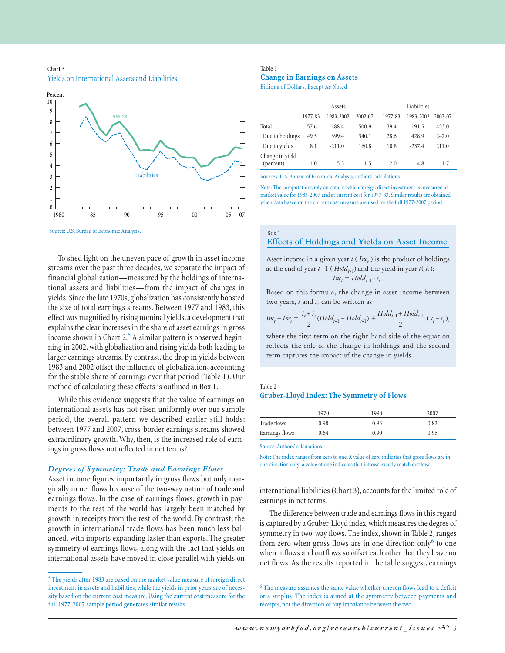Chart 3 Yields on International Assets and Liabilities



Source: U.S. Bureau of Economic Analysis.

To shed light on the uneven pace of growth in asset income streams over the past three decades, we separate the impact of financial globalization—measured by the holdings of international assets and liabilities—from the impact of changes in yields. Since the late 1970s, globalization has consistently boosted the size of total earnings streams. Between 1977 and 1983, this effect was magnified by rising nominal yields, a development that explains the clear increases in the share of asset earnings in gross income shown in Chart  $2<sup>5</sup>$  A similar pattern is observed beginning in 2002, with globalization and rising yields both leading to larger earnings streams. By contrast, the drop in yields between 1983 and 2002 offset the influence of globalization, accounting for the stable share of earnings over that period (Table 1). Our method of calculating these effects is outlined in Box 1.

While this evidence suggests that the value of earnings on international assets has not risen uniformly over our sample period, the overall pattern we described earlier still holds: between 1977 and 2007, cross-border earnings streams showed extraordinary growth. Why, then, is the increased role of earnings in gross flows not reflected in net terms?

### *Degrees of Symmetry: Trade and Earnings Flows*

Asset income figures importantly in gross flows but only marginally in net flows because of the two-way nature of trade and earnings flows. In the case of earnings flows, growth in payments to the rest of the world has largely been matched by growth in receipts from the rest of the world. By contrast, the growth in international trade flows has been much less balanced, with imports expanding faster than exports. The greater symmetry of earnings flows, along with the fact that yields on international assets have moved in close parallel with yields on

### Table 1 **Change in Earnings on Assets** Billions of Dollars, Except As Noted

|                              | Assets  |           | Liabilities |         |           |         |
|------------------------------|---------|-----------|-------------|---------|-----------|---------|
|                              | 1977-83 | 1983-2002 | 2002-07     | 1977-83 | 1983-2002 | 2002-07 |
| Total                        | 57.6    | 188.4     | 500.9       | 39.4    | 191.5     | 453.0   |
| Due to holdings              | 49.5    | 399.4     | 340.1       | 28.6    | 428.9     | 242.0   |
| Due to yields                | 8.1     | $-211.0$  | 160.8       | 10.8    | $-237.4$  | 211.0   |
| Change in yield<br>(percent) | 1.0     | $-5.3$    | 1.5         | 2.0     | $-4.8$    | 17      |

Sources: U.S. Bureau of Economic Analysis; authors' calculations.

Note: The computations rely on data in which foreign direct investment is measured at market value for 1983-2007 and at current cost for 1977-83. Similar results are obtained when data based on the current cost measure are used for the full 1977-2007 period.

### Box 1 **Effects of Holdings and Yields on Asset Income**

Asset income in a given year  $t$  ( $Inc<sub>t</sub>$ ) is the product of holdings at the end of year  $t-1$  (  $Hold_{t-1}$ ) and the yield in year  $t(i_t)$ :  $Inc_t = Hold_{t-1} \cdot i_t$ .

Based on this formula, the change in asset income between two years, *t* and *s,* can be written as

$$
Inc_t - Inc_s = \frac{i_t + i_s}{2}(Hold_{t-1} - Hold_{s-1}) + \frac{Hold_{t-1} + Hold_{s-1}}{2} (i_t - i_s),
$$

where the first term on the right-hand side of the equation reflects the role of the change in holdings and the second term captures the impact of the change in yields.

Table 2

#### **Gruber-Lloyd Index: The Symmetry of Flows**

|                | 1970 | 1990 | 2007 |
|----------------|------|------|------|
| Trade flows    | 0.98 | 0.93 | 0.82 |
| Earnings flows | 0.64 | 0.90 | 0.95 |

Source: Authors' calculations.

Note: The index ranges from zero to one. A value of zero indicates that gross flows are in one direction only; a value of one indicates that inflows exactly match outflows.

international liabilities (Chart 3), accounts for the limited role of earnings in net terms.

The difference between trade and earnings flows in this regard is captured by a Gruber-Lloyd index, which measures the degree of symmetry in two-way flows. The index, shown in Table 2, ranges from zero when gross flows are in one direction only<sup>6</sup> to one when inflows and outflows so offset each other that they leave no net flows. As the results reported in the table suggest, earnings

<sup>5</sup> The yields after 1983 are based on the market value measure of foreign direct investment in assets and liabilities, while the yields in prior years are of necessity based on the current cost measure. Using the current cost measure for the full 1977-2007 sample period generates similar results.

 $^6$  The measure assumes the same value whether uneven flows lead to a deficit or a surplus. The index is aimed at the symmetry between payments and receipts, not the direction of any imbalance between the two.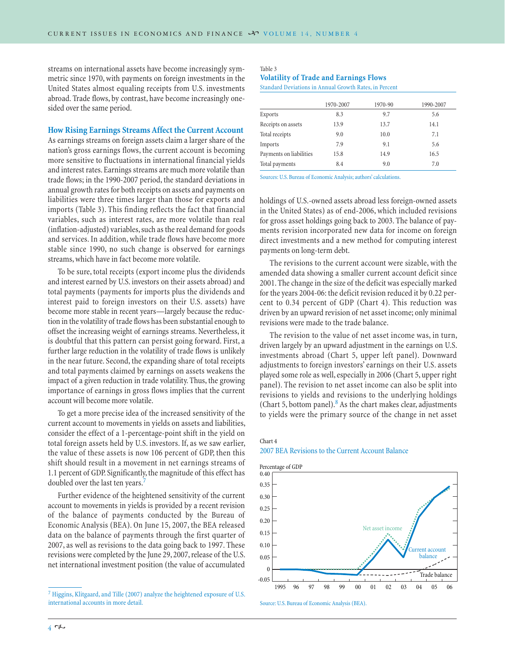streams on international assets have become increasingly symmetric since 1970, with payments on foreign investments in the United States almost equaling receipts from U.S. investments abroad. Trade flows, by contrast, have become increasingly onesided over the same period.

## **How Rising Earnings Streams Affect the Current Account**

As earnings streams on foreign assets claim a larger share of the nation's gross earnings flows, the current account is becoming more sensitive to fluctuations in international financial yields and interest rates. Earnings streams are much more volatile than trade flows; in the 1990-2007 period, the standard deviations in annual growth rates for both receipts on assets and payments on liabilities were three times larger than those for exports and imports (Table 3). This finding reflects the fact that financial variables, such as interest rates, are more volatile than real (inflation-adjusted) variables, such as the real demand for goods and services. In addition, while trade flows have become more stable since 1990, no such change is observed for earnings streams, which have in fact become more volatile.

To be sure, total receipts (export income plus the dividends and interest earned by U.S. investors on their assets abroad) and total payments (payments for imports plus the dividends and interest paid to foreign investors on their U.S. assets) have become more stable in recent years—largely because the reduction in the volatility of trade flows has been substantial enough to offset the increasing weight of earnings streams. Nevertheless, it is doubtful that this pattern can persist going forward. First, a further large reduction in the volatility of trade flows is unlikely in the near future. Second, the expanding share of total receipts and total payments claimed by earnings on assets weakens the impact of a given reduction in trade volatility. Thus, the growing importance of earnings in gross flows implies that the current account will become more volatile.

To get a more precise idea of the increased sensitivity of the current account to movements in yields on assets and liabilities, consider the effect of a 1-percentage-point shift in the yield on total foreign assets held by U.S. investors. If, as we saw earlier, the value of these assets is now 106 percent of GDP, then this shift should result in a movement in net earnings streams of 1.1 percent of GDP. Significantly, the magnitude of this effect has doubled over the last ten years.<sup>7</sup>

Further evidence of the heightened sensitivity of the current account to movements in yields is provided by a recent revision of the balance of payments conducted by the Bureau of Economic Analysis (BEA). On June 15, 2007, the BEA released data on the balance of payments through the first quarter of 2007, as well as revisions to the data going back to 1997. These revisions were completed by the June 29, 2007, release of the U.S. net international investment position (the value of accumulated

## Table 3 **Volatility of Trade and Earnings Flows**

Standard Deviations in Annual Growth Rates, in Percent

|                         | 1970-2007 | 1970-90 | 1990-2007 |
|-------------------------|-----------|---------|-----------|
| Exports                 | 8.3       | 9.7     | 5.6       |
| Receipts on assets      | 13.9      | 13.7    | 14.1      |
| Total receipts          | 9.0       | 10.0    | 7.1       |
| Imports                 | 7.9       | 9.1     | 5.6       |
| Payments on liabilities | 15.8      | 14.9    | 16.5      |
| Total payments          | 8.4       | 9.0     | 7.0       |

Sources: U.S. Bureau of Economic Analysis; authors' calculations.

holdings of U.S.-owned assets abroad less foreign-owned assets in the United States) as of end-2006, which included revisions for gross asset holdings going back to 2003. The balance of payments revision incorporated new data for income on foreign direct investments and a new method for computing interest payments on long-term debt.

The revisions to the current account were sizable, with the amended data showing a smaller current account deficit since 2001. The change in the size of the deficit was especially marked for the years 2004-06: the deficit revision reduced it by 0.22 percent to 0.34 percent of GDP (Chart 4). This reduction was driven by an upward revision of net asset income; only minimal revisions were made to the trade balance.

The revision to the value of net asset income was, in turn, driven largely by an upward adjustment in the earnings on U.S. investments abroad (Chart 5, upper left panel). Downward adjustments to foreign investors' earnings on their U.S. assets played some role as well, especially in 2006 (Chart 5, upper right panel). The revision to net asset income can also be split into revisions to yields and revisions to the underlying holdings (Chart 5, bottom panel). $8$  As the chart makes clear, adjustments to yields were the primary source of the change in net asset

## Chart 4 2007 BEA Revisions to the Current Account Balance





<sup>7</sup> Higgins, Klitgaard, and Tille (2007) analyze the heightened exposure of U.S. international accounts in more detail.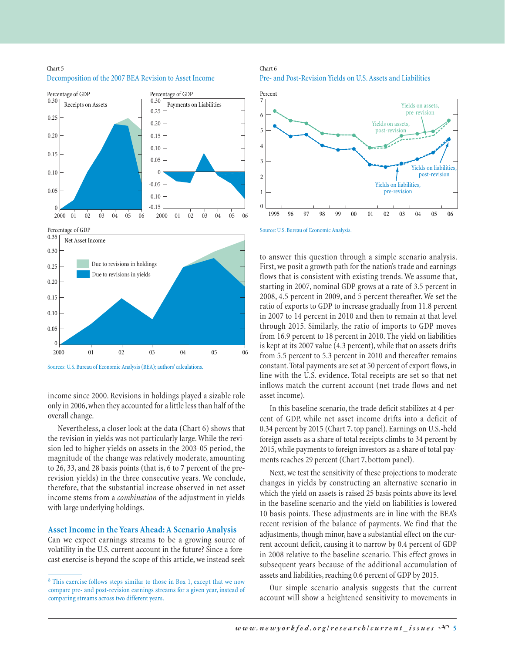# Chart 5



Decomposition of the 2007 BEA Revision to Asset Income

income since 2000. Revisions in holdings played a sizable role only in 2006, when they accounted for a little less than half of the overall change.

Nevertheless, a closer look at the data (Chart 6) shows that the revision in yields was not particularly large. While the revision led to higher yields on assets in the 2003-05 period, the magnitude of the change was relatively moderate, amounting to 26, 33, and 28 basis points (that is, 6 to 7 percent of the prerevision yields) in the three consecutive years. We conclude, therefore, that the substantial increase observed in net asset income stems from a *combination* of the adjustment in yields with large underlying holdings.

## **Asset Income in the Years Ahead: A Scenario Analysis**

Can we expect earnings streams to be a growing source of volatility in the U.S. current account in the future? Since a forecast exercise is beyond the scope of this article, we instead seek

## Chart 6

Pre- and Post-Revision Yields on U.S. Assets and Liabilities



Source: U.S. Bureau of Economic Analysis.

to answer this question through a simple scenario analysis. First, we posit a growth path for the nation's trade and earnings flows that is consistent with existing trends. We assume that, starting in 2007, nominal GDP grows at a rate of 3.5 percent in 2008, 4.5 percent in 2009, and 5 percent thereafter. We set the ratio of exports to GDP to increase gradually from 11.8 percent in 2007 to 14 percent in 2010 and then to remain at that level through 2015. Similarly, the ratio of imports to GDP moves from 16.9 percent to 18 percent in 2010. The yield on liabilities is kept at its 2007 value (4.3 percent), while that on assets drifts from 5.5 percent to 5.3 percent in 2010 and thereafter remains constant. Total payments are set at 50 percent of export flows, in line with the U.S. evidence. Total receipts are set so that net inflows match the current account (net trade flows and net asset income).

In this baseline scenario, the trade deficit stabilizes at 4 percent of GDP, while net asset income drifts into a deficit of 0.34 percent by 2015 (Chart 7, top panel). Earnings on U.S.-held foreign assets as a share of total receipts climbs to 34 percent by 2015, while payments to foreign investors as a share of total payments reaches 29 percent (Chart 7, bottom panel).

Next, we test the sensitivity of these projections to moderate changes in yields by constructing an alternative scenario in which the yield on assets is raised 25 basis points above its level in the baseline scenario and the yield on liabilities is lowered 10 basis points. These adjustments are in line with the BEA's recent revision of the balance of payments. We find that the adjustments, though minor, have a substantial effect on the current account deficit, causing it to narrow by 0.4 percent of GDP in 2008 relative to the baseline scenario. This effect grows in subsequent years because of the additional accumulation of assets and liabilities, reaching 0.6 percent of GDP by 2015.

Our simple scenario analysis suggests that the current account will show a heightened sensitivity to movements in

Sources: U.S. Bureau of Economic Analysis (BEA); authors' calculations.

<sup>8</sup> This exercise follows steps similar to those in Box 1, except that we now compare pre- and post-revision earnings streams for a given year, instead of comparing streams across two different years.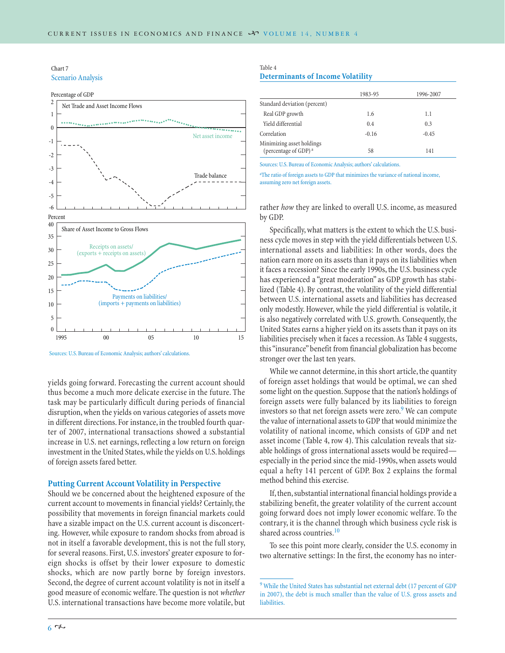# Chart 7

# Scenario Analysis



Sources: U.S. Bureau of Economic Analysis; authors' calculations.

yields going forward. Forecasting the current account should thus become a much more delicate exercise in the future. The task may be particularly difficult during periods of financial disruption, when the yields on various categories of assets move in different directions. For instance, in the troubled fourth quarter of 2007, international transactions showed a substantial increase in U.S. net earnings, reflecting a low return on foreign investment in the United States, while the yields on U.S. holdings of foreign assets fared better.

### **Putting Current Account Volatility in Perspective**

Should we be concerned about the heightened exposure of the current account to movements in financial yields? Certainly, the possibility that movements in foreign financial markets could have a sizable impact on the U.S. current account is disconcerting. However, while exposure to random shocks from abroad is not in itself a favorable development, this is not the full story, for several reasons. First, U.S. investors' greater exposure to foreign shocks is offset by their lower exposure to domestic shocks, which are now partly borne by foreign investors. Second, the degree of current account volatility is not in itself a good measure of economic welfare. The question is not *whether* U.S. international transactions have become more volatile, but

| Table 4                                  |  |
|------------------------------------------|--|
| <b>Determinants of Income Volatility</b> |  |

|                                                               | 1983-95 | 1996-2007 |
|---------------------------------------------------------------|---------|-----------|
| Standard deviation (percent)                                  |         |           |
| Real GDP growth                                               | 1.6     | 1.1       |
| Yield differential                                            | 0.4     | 0.3       |
| Correlation                                                   | $-0.16$ | $-0.45$   |
| Minimizing asset holdings<br>(percentage of GDP) <sup>a</sup> | 58      | 141       |

Sources: U.S. Bureau of Economic Analysis; authors' calculations.

<sup>a</sup>The ratio of foreign assets to GDP that minimizes the variance of national income, assuming zero net foreign assets.

rather *how* they are linked to overall U.S. income, as measured by GDP.

Specifically, what matters is the extent to which the U.S. business cycle moves in step with the yield differentials between U.S. international assets and liabilities: In other words, does the nation earn more on its assets than it pays on its liabilities when it faces a recession? Since the early 1990s, the U.S. business cycle has experienced a "great moderation" as GDP growth has stabilized (Table 4). By contrast, the volatility of the yield differential between U.S. international assets and liabilities has decreased only modestly. However, while the yield differential is volatile, it is also negatively correlated with U.S. growth. Consequently, the United States earns a higher yield on its assets than it pays on its liabilities precisely when it faces a recession. As Table 4 suggests, this "insurance" benefit from financial globalization has become stronger over the last ten years.

While we cannot determine, in this short article, the quantity of foreign asset holdings that would be optimal, we can shed some light on the question. Suppose that the nation's holdings of foreign assets were fully balanced by its liabilities to foreign investors so that net foreign assets were zero. $9$  We can compute the value of international assets to GDP that would minimize the volatility of national income, which consists of GDP and net asset income (Table 4, row 4). This calculation reveals that sizable holdings of gross international assets would be required especially in the period since the mid-1990s, when assets would equal a hefty 141 percent of GDP. Box 2 explains the formal method behind this exercise.

If, then, substantial international financial holdings provide a stabilizing benefit, the greater volatility of the current account going forward does not imply lower economic welfare. To the contrary, it is the channel through which business cycle risk is shared across countries.<sup>10</sup>

To see this point more clearly, consider the U.S. economy in two alternative settings: In the first, the economy has no inter-

<sup>9</sup> While the United States has substantial net external debt (17 percent of GDP in 2007), the debt is much smaller than the value of U.S. gross assets and liabilities.